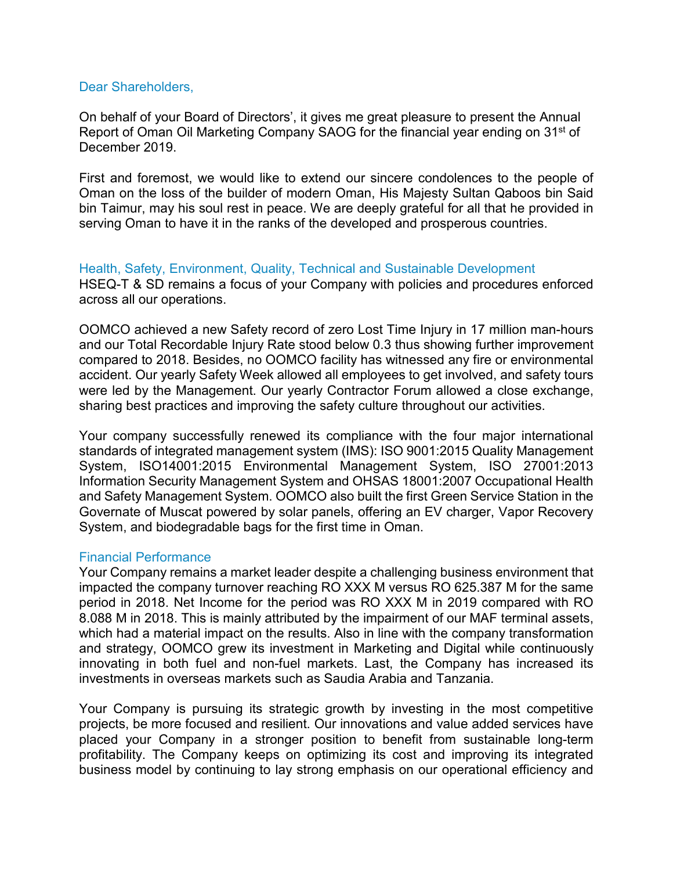## Dear Shareholders,

On behalf of your Board of Directors', it gives me great pleasure to present the Annual Report of Oman Oil Marketing Company SAOG for the financial year ending on 31<sup>st</sup> of December 2019.

First and foremost, we would like to extend our sincere condolences to the people of Oman on the loss of the builder of modern Oman, His Majesty Sultan Qaboos bin Said bin Taimur, may his soul rest in peace. We are deeply grateful for all that he provided in serving Oman to have it in the ranks of the developed and prosperous countries.

Health, Safety, Environment, Quality, Technical and Sustainable Development HSEQ-T & SD remains a focus of your Company with policies and procedures enforced across all our operations.

OOMCO achieved a new Safety record of zero Lost Time Injury in 17 million man-hours and our Total Recordable Injury Rate stood below 0.3 thus showing further improvement compared to 2018. Besides, no OOMCO facility has witnessed any fire or environmental accident. Our yearly Safety Week allowed all employees to get involved, and safety tours were led by the Management. Our yearly Contractor Forum allowed a close exchange, sharing best practices and improving the safety culture throughout our activities.

Your company successfully renewed its compliance with the four major international standards of integrated management system (IMS): ISO 9001:2015 Quality Management System, ISO14001:2015 Environmental Management System, ISO 27001:2013 Information Security Management System and OHSAS 18001:2007 Occupational Health and Safety Management System. OOMCO also built the first Green Service Station in the Governate of Muscat powered by solar panels, offering an EV charger, Vapor Recovery System, and biodegradable bags for the first time in Oman.

### Financial Performance

Your Company remains a market leader despite a challenging business environment that impacted the company turnover reaching RO XXX M versus RO 625.387 M for the same period in 2018. Net Income for the period was RO XXX M in 2019 compared with RO 8.088 M in 2018. This is mainly attributed by the impairment of our MAF terminal assets, which had a material impact on the results. Also in line with the company transformation and strategy, OOMCO grew its investment in Marketing and Digital while continuously innovating in both fuel and non-fuel markets. Last, the Company has increased its investments in overseas markets such as Saudia Arabia and Tanzania.

Your Company is pursuing its strategic growth by investing in the most competitive projects, be more focused and resilient. Our innovations and value added services have placed your Company in a stronger position to benefit from sustainable long-term profitability. The Company keeps on optimizing its cost and improving its integrated business model by continuing to lay strong emphasis on our operational efficiency and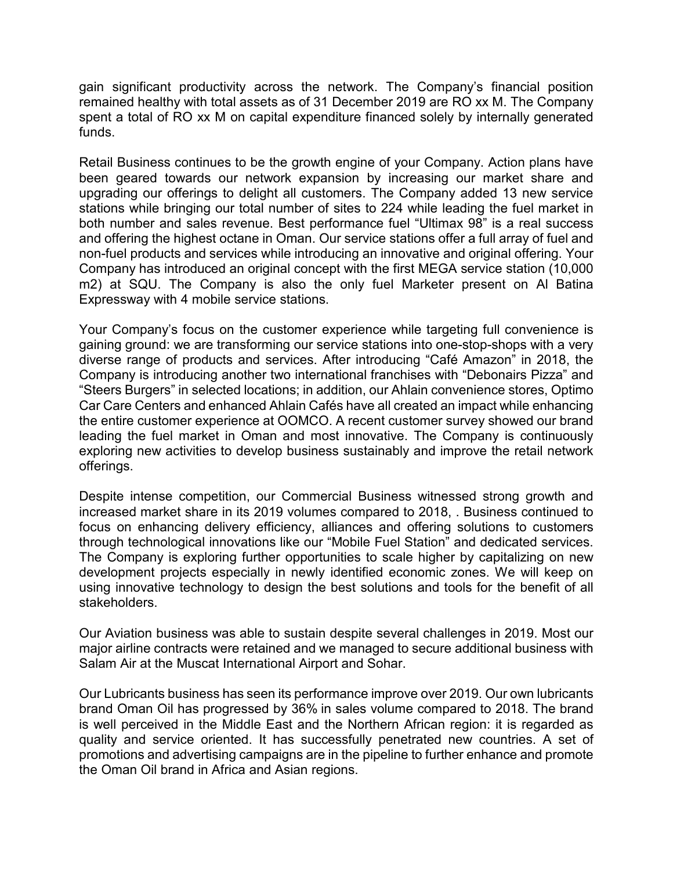gain significant productivity across the network. The Company's financial position remained healthy with total assets as of 31 December 2019 are RO xx M. The Company spent a total of RO xx M on capital expenditure financed solely by internally generated funds.

Retail Business continues to be the growth engine of your Company. Action plans have been geared towards our network expansion by increasing our market share and upgrading our offerings to delight all customers. The Company added 13 new service stations while bringing our total number of sites to 224 while leading the fuel market in both number and sales revenue. Best performance fuel "Ultimax 98" is a real success and offering the highest octane in Oman. Our service stations offer a full array of fuel and non-fuel products and services while introducing an innovative and original offering. Your Company has introduced an original concept with the first MEGA service station (10,000 m2) at SQU. The Company is also the only fuel Marketer present on Al Batina Expressway with 4 mobile service stations.

Your Company's focus on the customer experience while targeting full convenience is gaining ground: we are transforming our service stations into one-stop-shops with a very diverse range of products and services. After introducing "Café Amazon" in 2018, the Company is introducing another two international franchises with "Debonairs Pizza" and "Steers Burgers" in selected locations; in addition, our Ahlain convenience stores, Optimo Car Care Centers and enhanced Ahlain Cafés have all created an impact while enhancing the entire customer experience at OOMCO. A recent customer survey showed our brand leading the fuel market in Oman and most innovative. The Company is continuously exploring new activities to develop business sustainably and improve the retail network offerings.

Despite intense competition, our Commercial Business witnessed strong growth and increased market share in its 2019 volumes compared to 2018, . Business continued to focus on enhancing delivery efficiency, alliances and offering solutions to customers through technological innovations like our "Mobile Fuel Station" and dedicated services. The Company is exploring further opportunities to scale higher by capitalizing on new development projects especially in newly identified economic zones. We will keep on using innovative technology to design the best solutions and tools for the benefit of all stakeholders.

Our Aviation business was able to sustain despite several challenges in 2019. Most our major airline contracts were retained and we managed to secure additional business with Salam Air at the Muscat International Airport and Sohar.

Our Lubricants business has seen its performance improve over 2019. Our own lubricants brand Oman Oil has progressed by 36% in sales volume compared to 2018. The brand is well perceived in the Middle East and the Northern African region: it is regarded as quality and service oriented. It has successfully penetrated new countries. A set of promotions and advertising campaigns are in the pipeline to further enhance and promote the Oman Oil brand in Africa and Asian regions.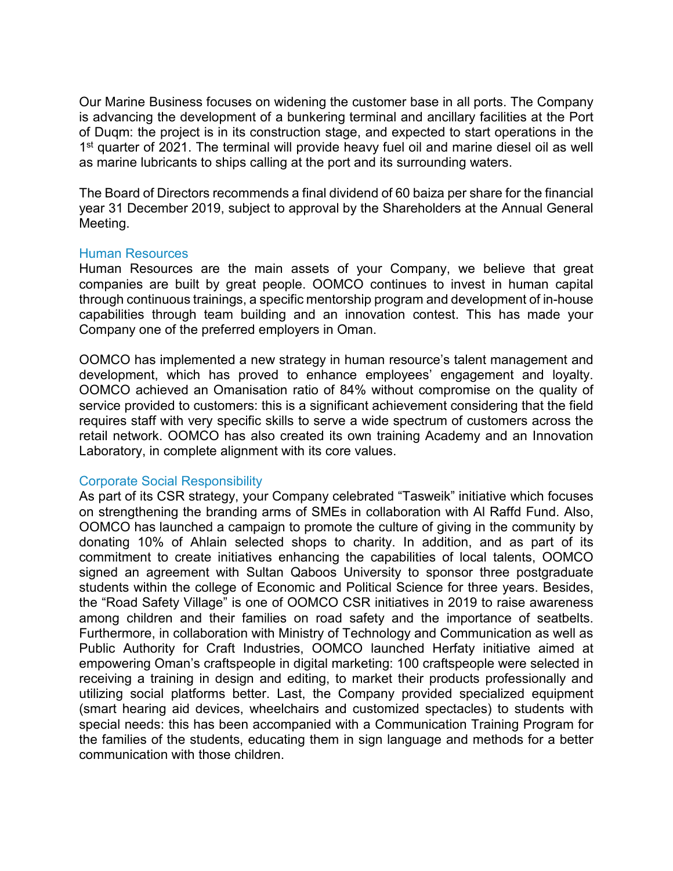Our Marine Business focuses on widening the customer base in all ports. The Company is advancing the development of a bunkering terminal and ancillary facilities at the Port of Duqm: the project is in its construction stage, and expected to start operations in the 1<sup>st</sup> quarter of 2021. The terminal will provide heavy fuel oil and marine diesel oil as well as marine lubricants to ships calling at the port and its surrounding waters.

The Board of Directors recommends a final dividend of 60 baiza per share for the financial year 31 December 2019, subject to approval by the Shareholders at the Annual General Meeting.

### Human Resources

Human Resources are the main assets of your Company, we believe that great companies are built by great people. OOMCO continues to invest in human capital through continuous trainings, a specific mentorship program and development of in-house capabilities through team building and an innovation contest. This has made your Company one of the preferred employers in Oman.

OOMCO has implemented a new strategy in human resource's talent management and development, which has proved to enhance employees' engagement and loyalty. OOMCO achieved an Omanisation ratio of 84% without compromise on the quality of service provided to customers: this is a significant achievement considering that the field requires staff with very specific skills to serve a wide spectrum of customers across the retail network. OOMCO has also created its own training Academy and an Innovation Laboratory, in complete alignment with its core values.

# Corporate Social Responsibility

As part of its CSR strategy, your Company celebrated "Tasweik" initiative which focuses on strengthening the branding arms of SMEs in collaboration with Al Raffd Fund. Also, OOMCO has launched a campaign to promote the culture of giving in the community by donating 10% of Ahlain selected shops to charity. In addition, and as part of its commitment to create initiatives enhancing the capabilities of local talents, OOMCO signed an agreement with Sultan Qaboos University to sponsor three postgraduate students within the college of Economic and Political Science for three years. Besides, the "Road Safety Village" is one of OOMCO CSR initiatives in 2019 to raise awareness among children and their families on road safety and the importance of seatbelts. Furthermore, in collaboration with Ministry of Technology and Communication as well as Public Authority for Craft Industries, OOMCO launched Herfaty initiative aimed at empowering Oman's craftspeople in digital marketing: 100 craftspeople were selected in receiving a training in design and editing, to market their products professionally and utilizing social platforms better. Last, the Company provided specialized equipment (smart hearing aid devices, wheelchairs and customized spectacles) to students with special needs: this has been accompanied with a Communication Training Program for the families of the students, educating them in sign language and methods for a better communication with those children.